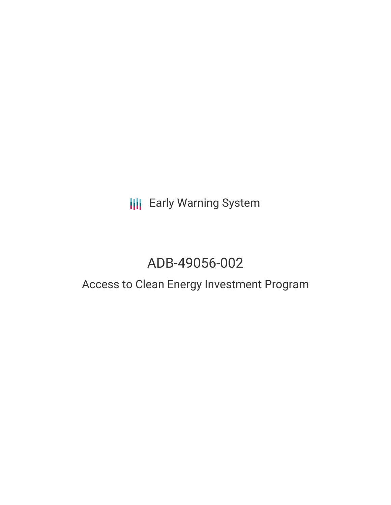**III** Early Warning System

# ADB-49056-002

## Access to Clean Energy Investment Program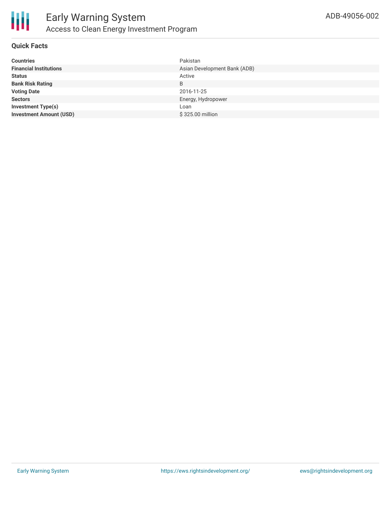

#### **Quick Facts**

| <b>Countries</b>               | Pakistan                     |
|--------------------------------|------------------------------|
| <b>Financial Institutions</b>  | Asian Development Bank (ADB) |
| <b>Status</b>                  | Active                       |
| <b>Bank Risk Rating</b>        | B                            |
| <b>Voting Date</b>             | 2016-11-25                   |
| <b>Sectors</b>                 | Energy, Hydropower           |
| <b>Investment Type(s)</b>      | Loan                         |
| <b>Investment Amount (USD)</b> | \$325.00 million             |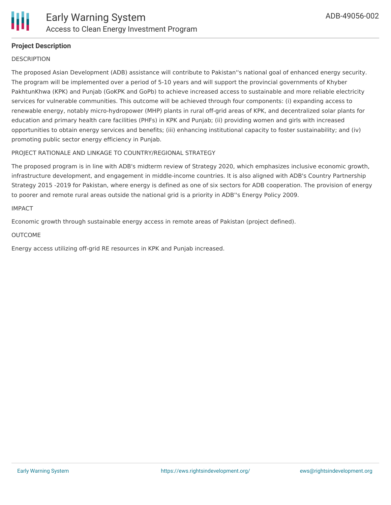

#### **Project Description**

#### **DESCRIPTION**

The proposed Asian Development (ADB) assistance will contribute to Pakistan''s national goal of enhanced energy security. The program will be implemented over a period of 5-10 years and will support the provincial governments of Khyber PakhtunKhwa (KPK) and Punjab (GoKPK and GoPb) to achieve increased access to sustainable and more reliable electricity services for vulnerable communities. This outcome will be achieved through four components: (i) expanding access to renewable energy, notably micro-hydropower (MHP) plants in rural off-grid areas of KPK, and decentralized solar plants for education and primary health care facilities (PHFs) in KPK and Punjab; (ii) providing women and girls with increased opportunities to obtain energy services and benefits; (iii) enhancing institutional capacity to foster sustainability; and (iv) promoting public sector energy efficiency in Punjab.

#### PROJECT RATIONALE AND LINKAGE TO COUNTRY/REGIONAL STRATEGY

The proposed program is in line with ADB's midterm review of Strategy 2020, which emphasizes inclusive economic growth, infrastructure development, and engagement in middle-income countries. It is also aligned with ADB's Country Partnership Strategy 2015 -2019 for Pakistan, where energy is defined as one of six sectors for ADB cooperation. The provision of energy to poorer and remote rural areas outside the national grid is a priority in ADB''s Energy Policy 2009.

#### IMPACT

Economic growth through sustainable energy access in remote areas of Pakistan (project defined).

#### OUTCOME

Energy access utilizing off-grid RE resources in KPK and Punjab increased.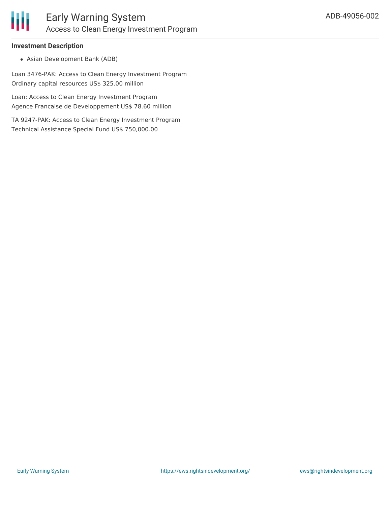

#### **Investment Description**

Asian Development Bank (ADB)

Loan 3476-PAK: Access to Clean Energy Investment Program Ordinary capital resources US\$ 325.00 million

Loan: Access to Clean Energy Investment Program Agence Francaise de Developpement US\$ 78.60 million

TA 9247-PAK: Access to Clean Energy Investment Program Technical Assistance Special Fund US\$ 750,000.00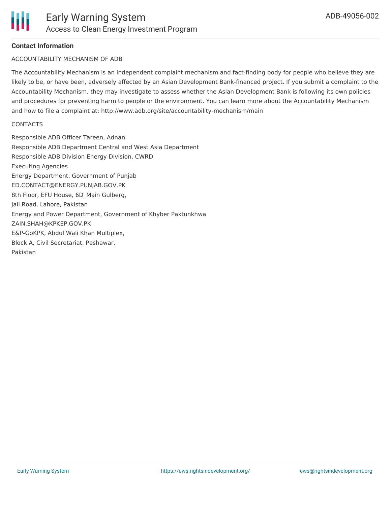#### **Contact Information**

#### ACCOUNTABILITY MECHANISM OF ADB

The Accountability Mechanism is an independent complaint mechanism and fact-finding body for people who believe they are likely to be, or have been, adversely affected by an Asian Development Bank-financed project. If you submit a complaint to the Accountability Mechanism, they may investigate to assess whether the Asian Development Bank is following its own policies and procedures for preventing harm to people or the environment. You can learn more about the Accountability Mechanism and how to file a complaint at: http://www.adb.org/site/accountability-mechanism/main

#### **CONTACTS**

Responsible ADB Officer Tareen, Adnan Responsible ADB Department Central and West Asia Department Responsible ADB Division Energy Division, CWRD Executing Agencies Energy Department, Government of Punjab ED.CONTACT@ENERGY.PUNJAB.GOV.PK 8th Floor, EFU House, 6D\_Main Gulberg, Jail Road, Lahore, Pakistan Energy and Power Department, Government of Khyber Paktunkhwa ZAIN.SHAH@KPKEP.GOV.PK E&P-GoKPK, Abdul Wali Khan Multiplex, Block A, Civil Secretariat, Peshawar, Pakistan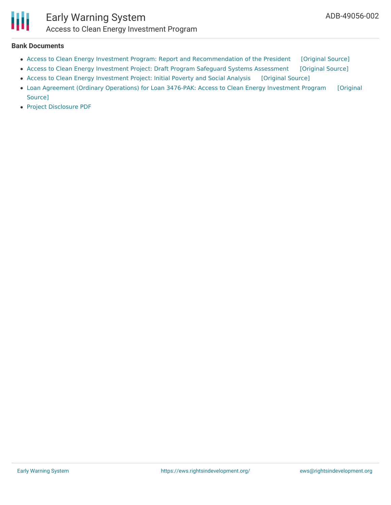

### Early Warning System Access to Clean Energy Investment Program

#### **Bank Documents**

- Access to Clean Energy Investment Program: Report and [Recommendation](https://ewsdata.rightsindevelopment.org/files/documents/02/ADB-49056-002_2csBaoI.pdf) of the President [\[Original](https://www.adb.org/sites/default/files/project-document/213171/49056-002-rrp.pdf) Source]
- Access to Clean Energy Investment Project: Draft Program Safeguard Systems [Assessment](https://ewsdata.rightsindevelopment.org/files/documents/02/ADB-49056-002_WSt9TEr.pdf) [\[Original](https://www.adb.org/sites/default/files/project-document/200386/49056-002-pssa-01.pdf) Source]
- Access to Clean Energy [Investment](https://ewsdata.rightsindevelopment.org/files/documents/02/ADB-49056-002.pdf) Project: Initial Poverty and Social Analysis [\[Original](https://www.adb.org/projects/documents/pak-access-to-clean-energy-investment-ipsa) Source]
- Loan Agreement (Ordinary [Operations\)](https://www.adb.org/sites/default/files/project-documents/49056/49056-002-lbg.pdf) for Loan 3476-PAK: Access to Clean Energy Investment Program [Original Source]
- Project [Disclosure](https://www.adb.org/printpdf/projects/49056-002/main) PDF